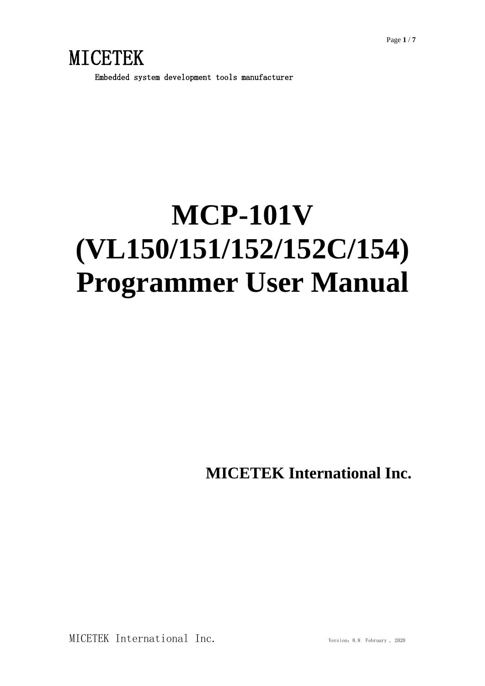Embedded system development tools manufacturer

## **MCP-101V (VL150/151/152/152C/154) Programmer User Manual**

**MICETEK International Inc.**

MICETEK International Inc. Version: 8.8 February, 2020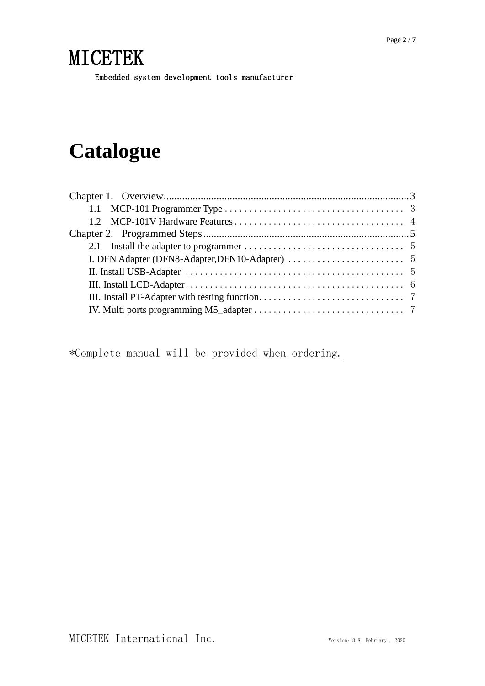Embedded system development tools manufacturer

## **Catalogue**

\*Complete manual will be provided when ordering.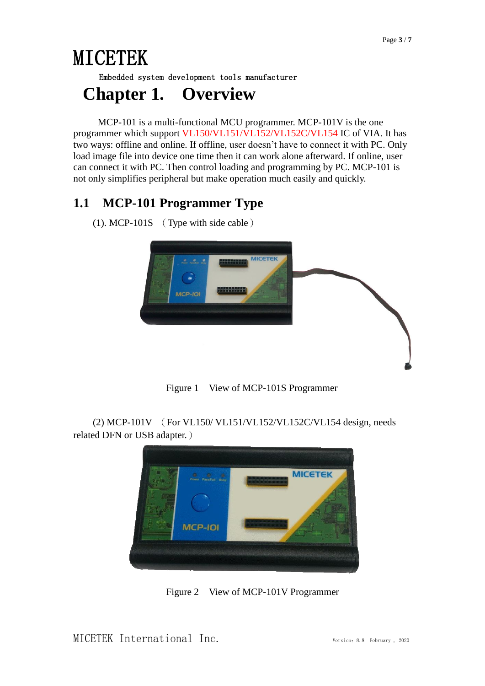Embedded system development tools manufacturer

#### <span id="page-2-0"></span>**Chapter 1. Overview**

 MCP-101 is a multi-functional MCU programmer. MCP-101V is the one programmer which support VL150/VL151/VL152/VL152C/VL154 IC of VIA. It has two ways: offline and online. If offline, user doesn't have to connect it with PC. Only load image file into device one time then it can work alone afterward. If online, user can connect it with PC. Then control loading and programming by PC. MCP-101 is not only simplifies peripheral but make operation much easily and quickly.

#### <span id="page-2-1"></span>**1.1 MCP-101 Programmer Type**

(1). MCP-101S (Type with side cable)



Figure 1 View of MCP-101S Programmer

(2) MCP-101V (For VL150/ VL151/VL152/VL152C/VL154 design, needs related DFN or USB adapter.)



Figure 2 View of MCP-101V Programmer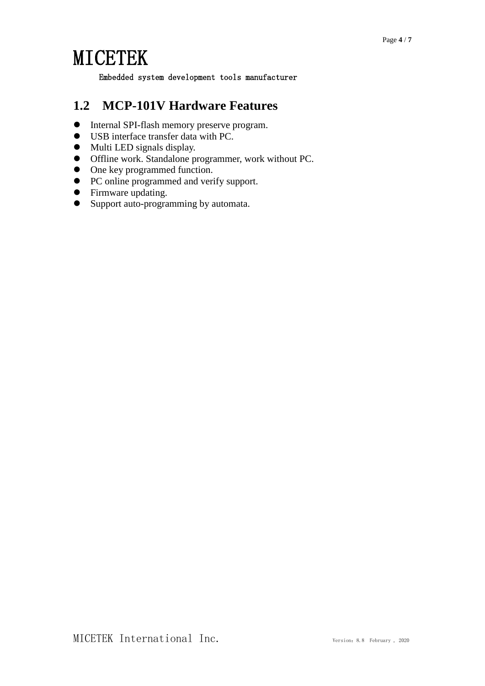Embedded system development tools manufacturer

#### <span id="page-3-0"></span>**1.2 MCP-101V Hardware Features**

- $\bullet$  Internal SPI-flash memory preserve program.
- USB interface transfer data with PC.
- $\bullet$  Multi LED signals display.
- Offline work. Standalone programmer, work without PC.
- One key programmed function.
- PC online programmed and verify support.
- Firmware updating.
- Support auto-programming by automata.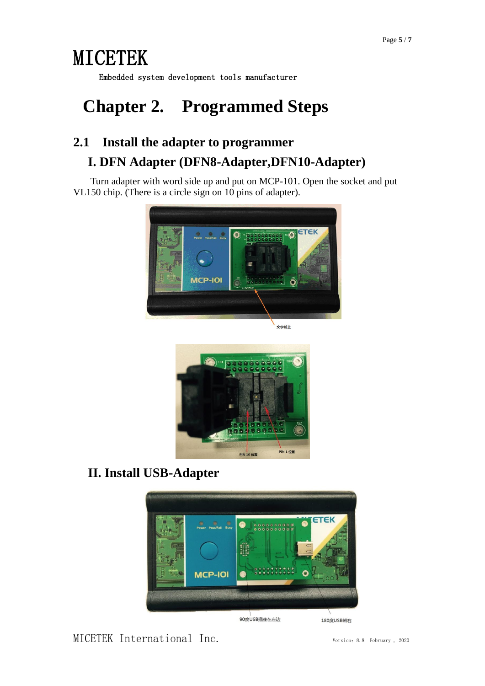Embedded system development tools manufacturer

### <span id="page-4-0"></span>**Chapter 2. Programmed Steps**

#### <span id="page-4-2"></span><span id="page-4-1"></span>**2.1 Install the adapter to programmer I. DFN Adapter (DFN8-Adapter,DFN10-Adapter)**

Turn adapter with word side up and put on MCP-101. Open the socket and put VL150 chip. (There is a circle sign on 10 pins of adapter).



<br>文字朝上



#### <span id="page-4-3"></span>**II. Install USB-Adapter**



MICETEK International Inc. Version:8.8 February , <sup>2020</sup>

180度USB朝右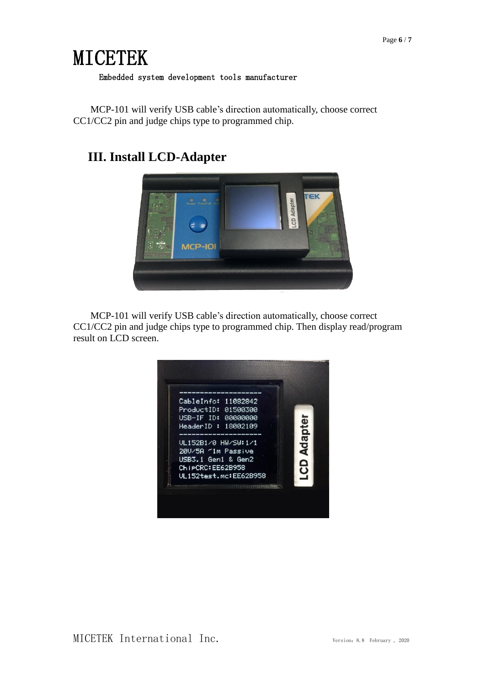#### Embedded system development tools manufacturer

MCP-101 will verify USB cable's direction automatically, choose correct CC1/CC2 pin and judge chips type to programmed chip.

#### <span id="page-5-0"></span>**III. Install LCD-Adapter**



MCP-101 will verify USB cable's direction automatically, choose correct CC1/CC2 pin and judge chips type to programmed chip. Then display read/program result on LCD screen.